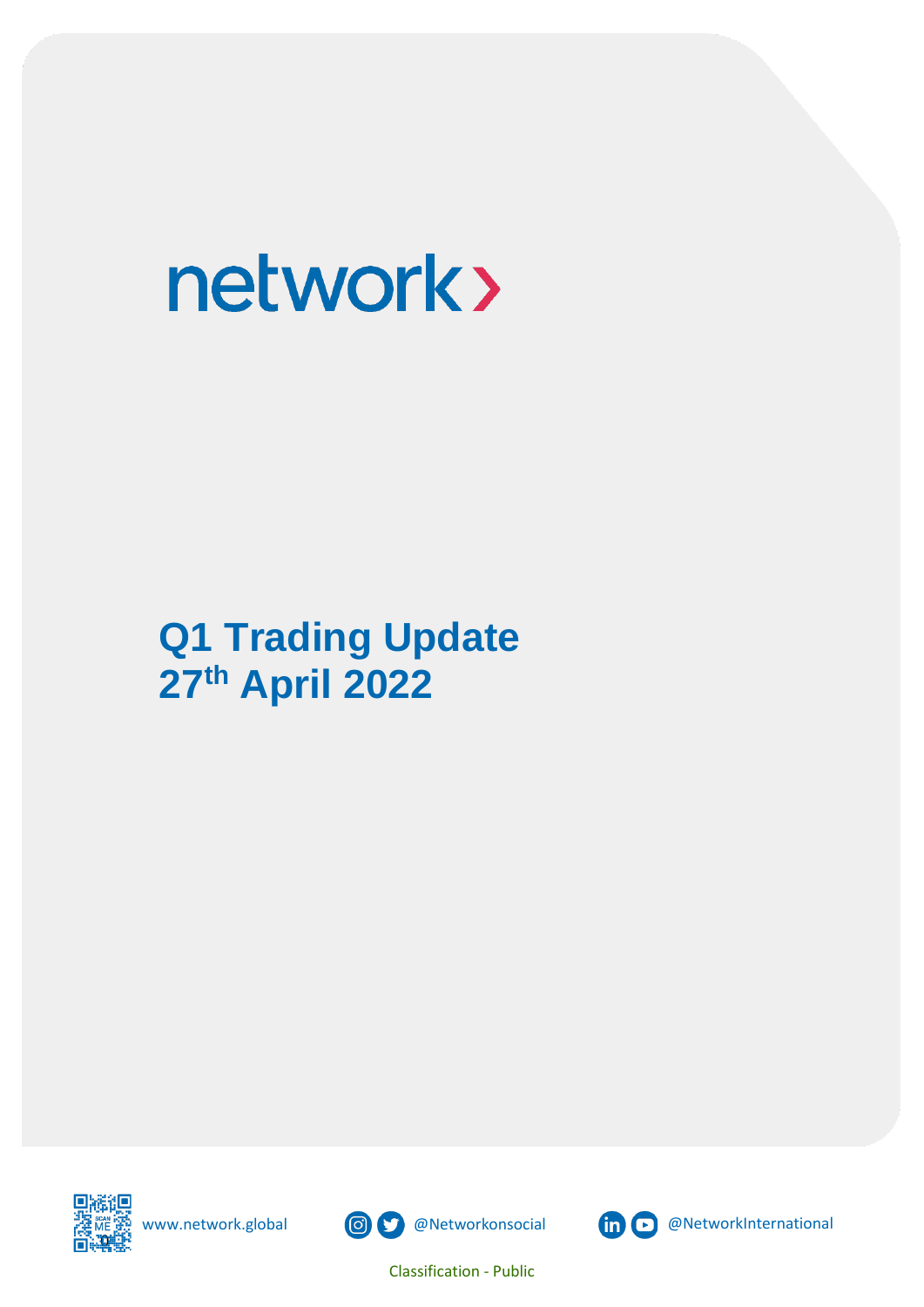# **Q1 Trading Update 27th April 2022**







Classification - Public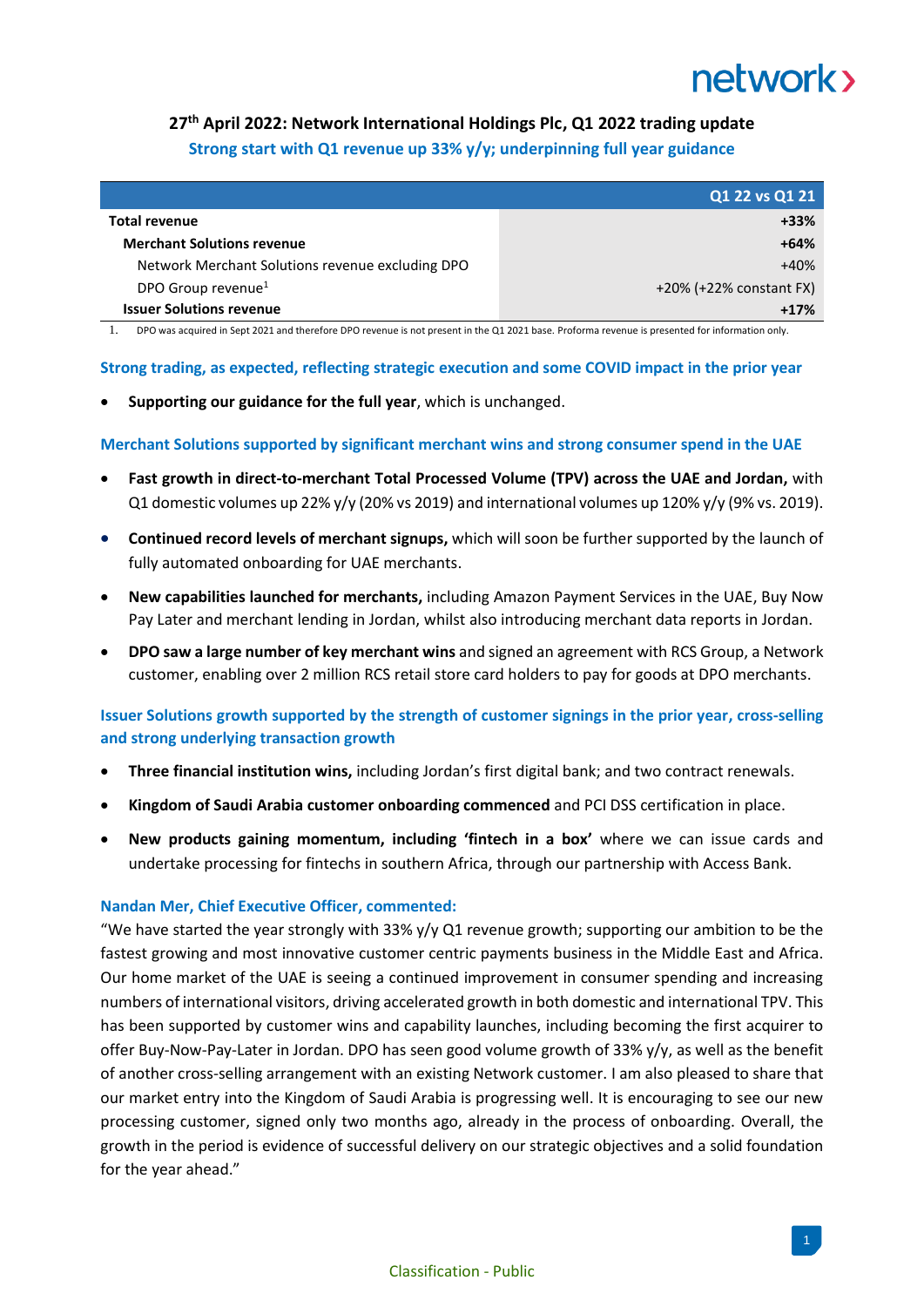### **27th April 2022: Network International Holdings Plc, Q1 2022 trading update Strong start with Q1 revenue up 33% y/y; underpinning full year guidance**

|                                                  | Q1 22 vs Q1 21          |
|--------------------------------------------------|-------------------------|
| Total revenue                                    | $+33%$                  |
| <b>Merchant Solutions revenue</b>                | $+64%$                  |
| Network Merchant Solutions revenue excluding DPO | $+40%$                  |
| DPO Group revenue <sup>1</sup>                   | +20% (+22% constant FX) |
| <b>Issuer Solutions revenue</b>                  | $+17%$                  |

**1.** 1. DPO was acquired in Sept 2021 and therefore DPO revenue is not present in the Q1 2021 base. Proforma revenue is presented for information only.

#### **Strong trading, as expected, reflecting strategic execution and some COVID impact in the prior year**

• **Supporting our guidance for the full year**, which is unchanged.

**Merchant Solutions supported by significant merchant wins and strong consumer spend in the UAE**

- **Fast growth in direct-to-merchant Total Processed Volume (TPV) across the UAE and Jordan,** with Q1 domestic volumes up 22% y/y (20% vs 2019) and international volumes up 120% y/y (9% vs. 2019).
- **Continued record levels of merchant signups,** which will soon be further supported by the launch of fully automated onboarding for UAE merchants.
- **New capabilities launched for merchants,** including Amazon Payment Services in the UAE, Buy Now Pay Later and merchant lending in Jordan, whilst also introducing merchant data reports in Jordan.
- **DPO saw a large number of key merchant wins** and signed an agreement with RCS Group, a Network customer, enabling over 2 million RCS retail store card holders to pay for goods at DPO merchants.

### **Issuer Solutions growth supported by the strength of customer signings in the prior year, cross-selling and strong underlying transaction growth**

- **Three financial institution wins,** including Jordan's first digital bank; and two contract renewals.
- **Kingdom of Saudi Arabia customer onboarding commenced** and PCI DSS certification in place.
- **New products gaining momentum, including 'fintech in a box'** where we can issue cards and undertake processing for fintechs in southern Africa, through our partnership with Access Bank.

#### **Nandan Mer, Chief Executive Officer, commented:**

"We have started the year strongly with 33%  $y/y$  Q1 revenue growth; supporting our ambition to be the fastest growing and most innovative customer centric payments business in the Middle East and Africa. Our home market of the UAE is seeing a continued improvement in consumer spending and increasing numbers of international visitors, driving accelerated growth in both domestic and international TPV. This has been supported by customer wins and capability launches, including becoming the first acquirer to offer Buy-Now-Pay-Later in Jordan. DPO has seen good volume growth of 33% y/y, as well as the benefit of another cross-selling arrangement with an existing Network customer. I am also pleased to share that our market entry into the Kingdom of Saudi Arabia is progressing well. It is encouraging to see our new processing customer, signed only two months ago, already in the process of onboarding. Overall, the growth in the period is evidence of successful delivery on our strategic objectives and a solid foundation for the year ahead."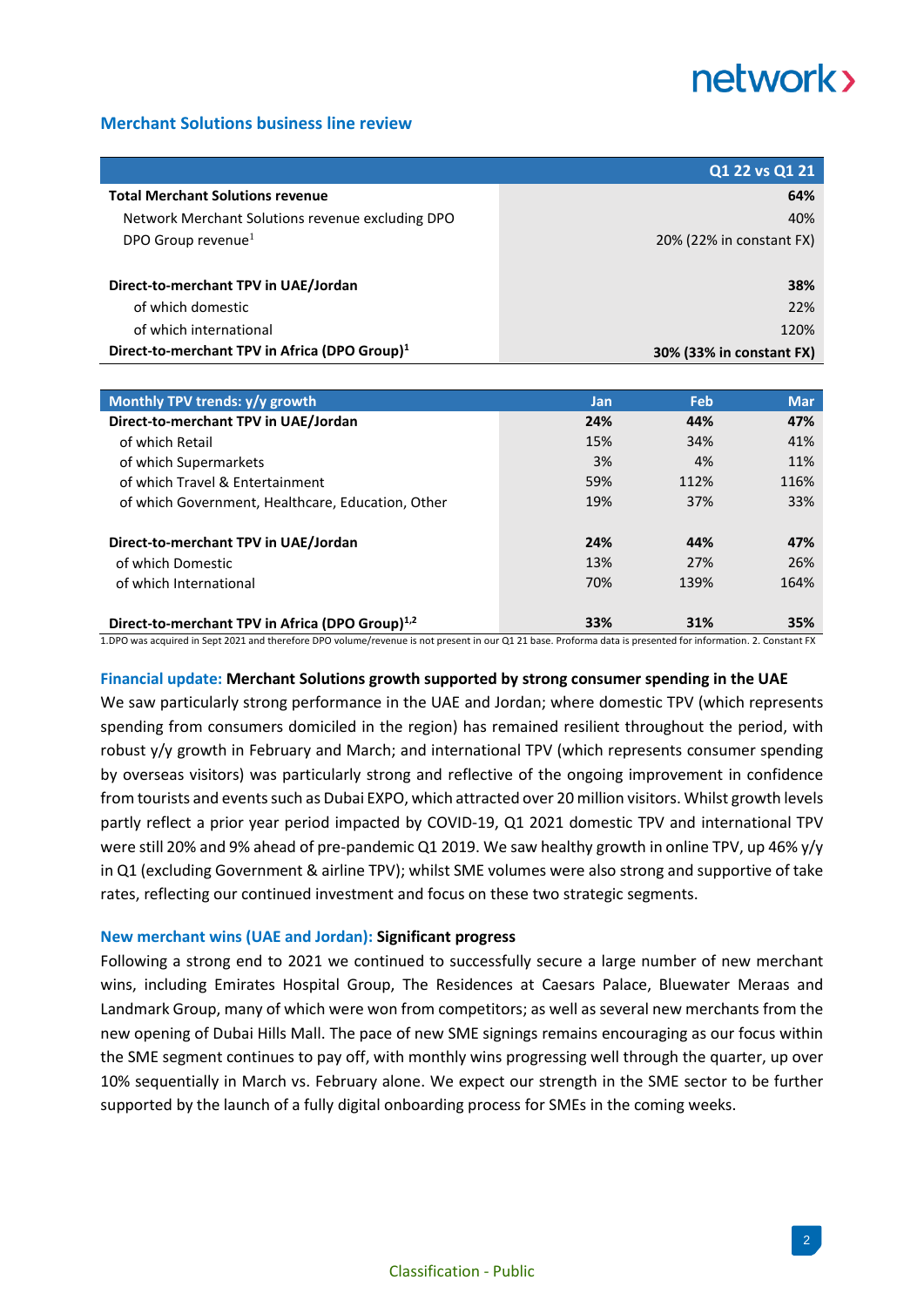#### **Merchant Solutions business line review**

|                                                           | Q1 22 vs Q1 21           |
|-----------------------------------------------------------|--------------------------|
| <b>Total Merchant Solutions revenue</b>                   | 64%                      |
| Network Merchant Solutions revenue excluding DPO          | 40%                      |
| DPO Group revenue <sup>1</sup>                            | 20% (22% in constant FX) |
|                                                           |                          |
| Direct-to-merchant TPV in UAE/Jordan                      | 38%                      |
| of which domestic                                         | 22%                      |
| of which international                                    | 120%                     |
| Direct-to-merchant TPV in Africa (DPO Group) <sup>1</sup> | 30% (33% in constant FX) |

| Monthly TPV trends: y/y growth                              | Jan | Feb  | <b>Mar</b> |
|-------------------------------------------------------------|-----|------|------------|
| Direct-to-merchant TPV in UAE/Jordan                        | 24% | 44%  | 47%        |
| of which Retail                                             | 15% | 34%  | 41%        |
| of which Supermarkets                                       | 3%  | 4%   | 11%        |
| of which Travel & Entertainment                             | 59% | 112% | 116%       |
| of which Government, Healthcare, Education, Other           | 19% | 37%  | 33%        |
| Direct-to-merchant TPV in UAE/Jordan                        | 24% | 44%  | 47%        |
| of which Domestic                                           | 13% | 27%  | 26%        |
| of which International                                      | 70% | 139% | 164%       |
|                                                             |     |      |            |
| Direct-to-merchant TPV in Africa (DPO Group) <sup>1,2</sup> | 33% | 31%  | 35%        |

1.DPO was acquired in Sept 2021 and therefore DPO volume/revenue is not present in our Q1 21 base. Proforma data is presented for information. 2. Constant FX

#### **Financial update: Merchant Solutions growth supported by strong consumer spending in the UAE**

We saw particularly strong performance in the UAE and Jordan; where domestic TPV (which represents spending from consumers domiciled in the region) has remained resilient throughout the period, with robust y/y growth in February and March; and international TPV (which represents consumer spending by overseas visitors) was particularly strong and reflective of the ongoing improvement in confidence from tourists and events such as Dubai EXPO, which attracted over 20 million visitors. Whilst growth levels partly reflect a prior year period impacted by COVID-19, Q1 2021 domestic TPV and international TPV were still 20% and 9% ahead of pre-pandemic Q1 2019. We saw healthy growth in online TPV, up 46% y/y in Q1 (excluding Government & airline TPV); whilst SME volumes were also strong and supportive of take rates, reflecting our continued investment and focus on these two strategic segments.

#### **New merchant wins (UAE and Jordan): Significant progress**

Following a strong end to 2021 we continued to successfully secure a large number of new merchant wins, including Emirates Hospital Group, The Residences at Caesars Palace, Bluewater Meraas and Landmark Group, many of which were won from competitors; as well as several new merchants from the new opening of Dubai Hills Mall. The pace of new SME signings remains encouraging as our focus within the SME segment continues to pay off, with monthly wins progressing well through the quarter, up over 10% sequentially in March vs. February alone. We expect our strength in the SME sector to be further supported by the launch of a fully digital onboarding process for SMEs in the coming weeks.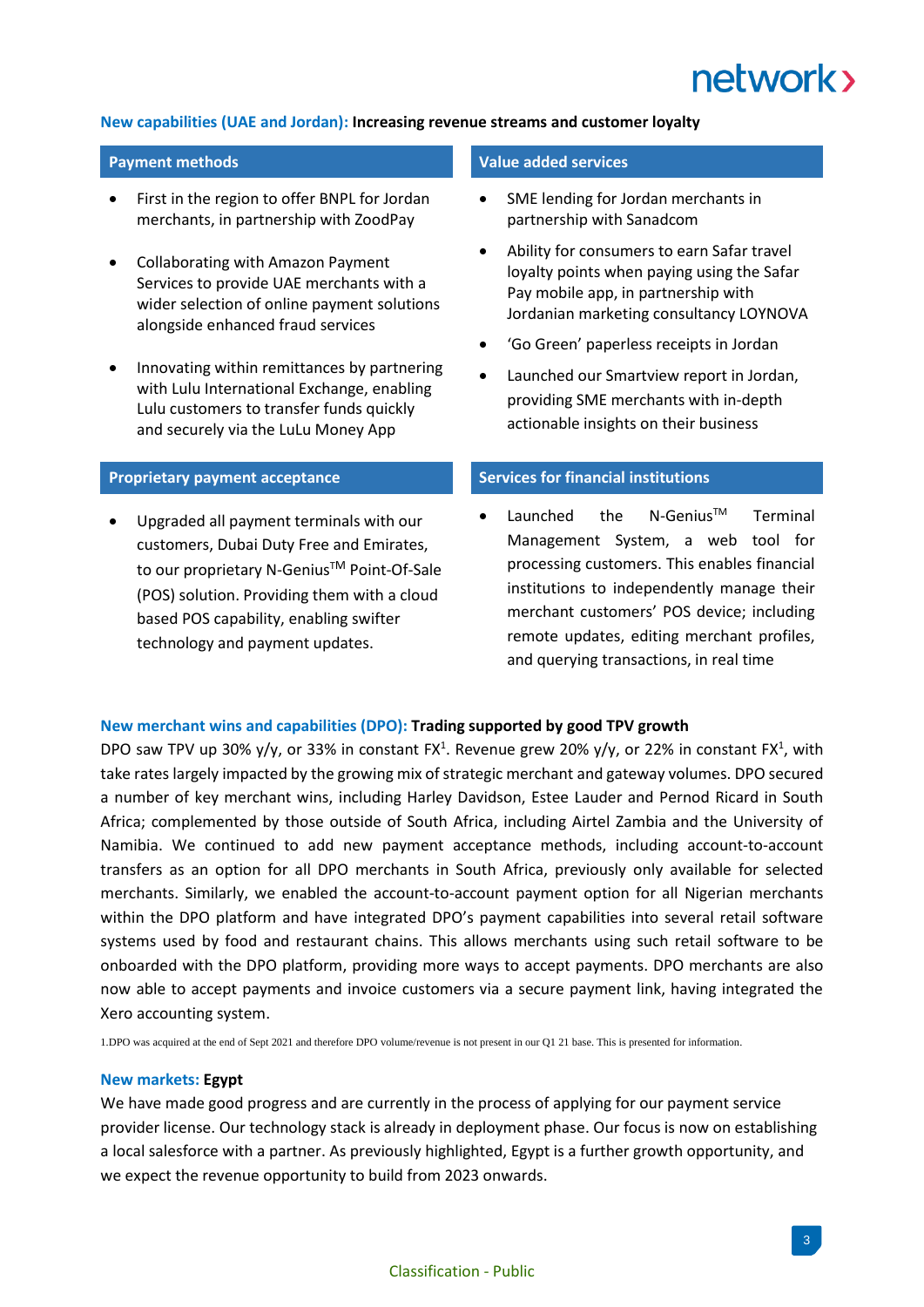

#### **New capabilities (UAE and Jordan): Increasing revenue streams and customer loyalty**

- First in the region to offer BNPL for Jordan merchants, in partnership with ZoodPay
- Collaborating with Amazon Payment Services to provide UAE merchants with a wider selection of online payment solutions alongside enhanced fraud services
- Innovating within remittances by partnering with Lulu International Exchange, enabling Lulu customers to transfer funds quickly and securely via the LuLu Money App

• Upgraded all payment terminals with our customers, Dubai Duty Free and Emirates, to our proprietary N-Genius™ Point-Of-Sale (POS) solution. Providing them with a cloud based POS capability, enabling swifter technology and payment updates.

#### **Payment methods Value added services**

- SME lending for Jordan merchants in partnership with Sanadcom
- Ability for consumers to earn Safar travel loyalty points when paying using the Safar Pay mobile app, in partnership with Jordanian marketing consultancy LOYNOVA
- 'Go Green' paperless receipts in Jordan
- Launched our Smartview report in Jordan, providing SME merchants with in-depth actionable insights on their business

#### **Proprietary** payment acceptance **Services** Services for financial institutions

Launched the N-Genius<sup>TM</sup> Terminal Management System, a web tool for processing customers. This enables financial institutions to independently manage their merchant customers' POS device; including remote updates, editing merchant profiles, and querying transactions, in real time

#### **New merchant wins and capabilities (DPO): Trading supported by good TPV growth**

DPO saw TPV up 30%  $y/y$ , or 33% in constant FX<sup>1</sup>. Revenue grew 20%  $y/y$ , or 22% in constant FX<sup>1</sup>, with take rates largely impacted by the growing mix of strategic merchant and gateway volumes. DPO secured a number of key merchant wins, including Harley Davidson, Estee Lauder and Pernod Ricard in South Africa; complemented by those outside of South Africa, including Airtel Zambia and the University of Namibia. We continued to add new payment acceptance methods, including account-to-account transfers as an option for all DPO merchants in South Africa, previously only available for selected merchants. Similarly, we enabled the account-to-account payment option for all Nigerian merchants within the DPO platform and have integrated DPO's payment capabilities into several retail software systems used by food and restaurant chains. This allows merchants using such retail software to be onboarded with the DPO platform, providing more ways to accept payments. DPO merchants are also now able to accept payments and invoice customers via a secure payment link, having integrated the Xero accounting system.

1.DPO was acquired at the end of Sept 2021 and therefore DPO volume/revenue is not present in our Q1 21 base. This is presented for information.

#### **New markets: Egypt**

We have made good progress and are currently in the process of applying for our payment service provider license. Our technology stack is already in deployment phase. Our focus is now on establishing a local salesforce with a partner. As previously highlighted, Egypt is a further growth opportunity, and we expect the revenue opportunity to build from 2023 onwards.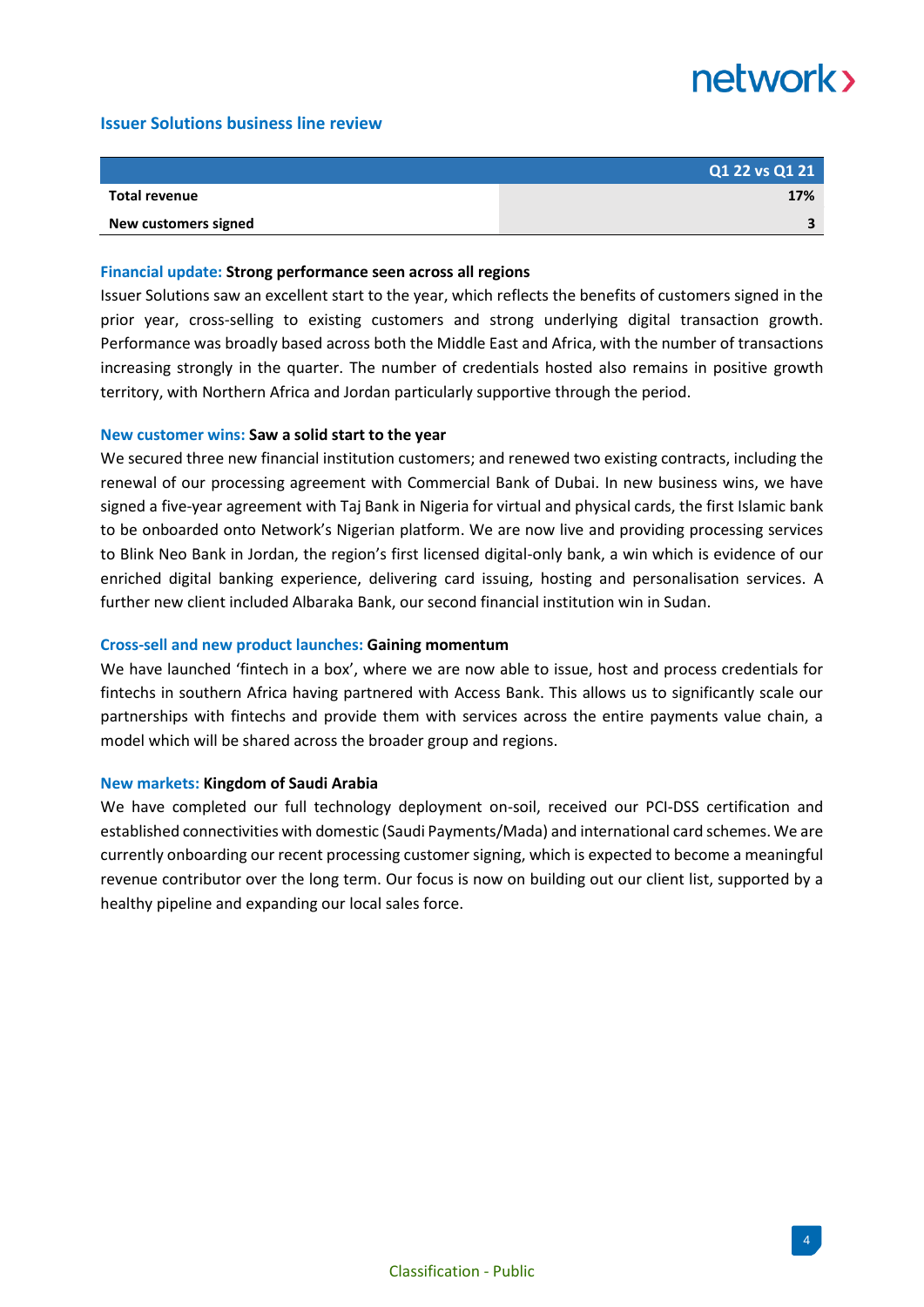#### **Issuer Solutions business line review**

|                      | Q1 22 vs Q1 21 |
|----------------------|----------------|
| Total revenue        | 17%            |
| New customers signed |                |

#### **Financial update: Strong performance seen across all regions**

Issuer Solutions saw an excellent start to the year, which reflects the benefits of customers signed in the prior year, cross-selling to existing customers and strong underlying digital transaction growth. Performance was broadly based across both the Middle East and Africa, with the number of transactions increasing strongly in the quarter. The number of credentials hosted also remains in positive growth territory, with Northern Africa and Jordan particularly supportive through the period.

#### **New customer wins: Saw a solid start to the year**

We secured three new financial institution customers; and renewed two existing contracts, including the renewal of our processing agreement with Commercial Bank of Dubai. In new business wins, we have signed a five-year agreement with Taj Bank in Nigeria for virtual and physical cards, the first Islamic bank to be onboarded onto Network's Nigerian platform. We are now live and providing processing services to Blink Neo Bank in Jordan, the region's first licensed digital-only bank, a win which is evidence of our enriched digital banking experience, delivering card issuing, hosting and personalisation services. A further new client included Albaraka Bank, our second financial institution win in Sudan.

#### **Cross-sell and new product launches: Gaining momentum**

We have launched 'fintech in a box', where we are now able to issue, host and process credentials for fintechs in southern Africa having partnered with Access Bank. This allows us to significantly scale our partnerships with fintechs and provide them with services across the entire payments value chain, a model which will be shared across the broader group and regions.

#### **New markets: Kingdom of Saudi Arabia**

We have completed our full technology deployment on-soil, received our PCI-DSS certification and established connectivities with domestic (Saudi Payments/Mada) and international card schemes. We are currently onboarding our recent processing customer signing, which is expected to become a meaningful revenue contributor over the long term. Our focus is now on building out our client list, supported by a healthy pipeline and expanding our local sales force.